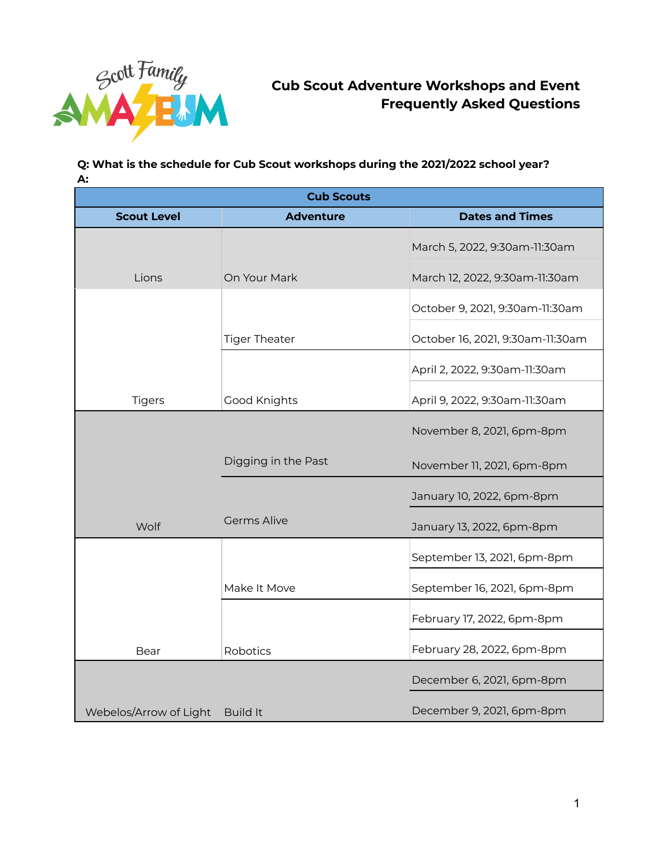

# **Cub Scout Adventure Workshops and Event Frequently Asked Questions**

## **Q: What is the schedule for Cub Scout workshops during the 2021/2022 school year? A:**

| <b>Cub Scouts</b>      |                      |                                  |
|------------------------|----------------------|----------------------------------|
| <b>Scout Level</b>     | <b>Adventure</b>     | <b>Dates and Times</b>           |
|                        |                      | March 5, 2022, 9:30am-11:30am    |
| Lions                  | On Your Mark         | March 12, 2022, 9:30am-11:30am   |
|                        |                      | October 9, 2021, 9:30am-11:30am  |
|                        | <b>Tiger Theater</b> | October 16, 2021, 9:30am-11:30am |
|                        |                      | April 2, 2022, 9:30am-11:30am    |
| <b>Tigers</b>          | Good Knights         | April 9, 2022, 9:30am-11:30am    |
|                        |                      | November 8, 2021, 6pm-8pm        |
|                        | Digging in the Past  | November 11, 2021, 6pm-8pm       |
|                        |                      | January 10, 2022, 6pm-8pm        |
| Wolf                   | <b>Germs Alive</b>   | January 13, 2022, 6pm-8pm        |
|                        |                      | September 13, 2021, 6pm-8pm      |
|                        | Make It Move         | September 16, 2021, 6pm-8pm      |
|                        |                      | February 17, 2022, 6pm-8pm       |
| Bear                   | Robotics             | February 28, 2022, 6pm-8pm       |
|                        |                      | December 6, 2021, 6pm-8pm        |
| Webelos/Arrow of Light | <b>Build It</b>      | December 9, 2021, 6pm-8pm        |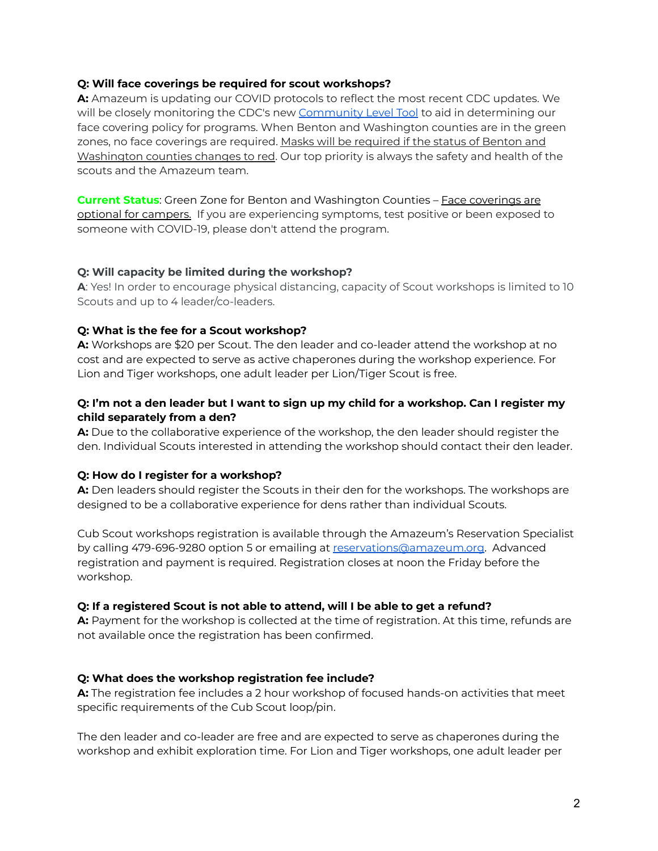## **Q: Will face coverings be required for scout workshops?**

**A:** Amazeum is updating our COVID protocols to reflect the most recent CDC updates. We will be closely monitoring the CDC's new [Community](https://www.cdc.gov/coronavirus/2019-ncov/your-health/covid-by-county.html) Level Tool to aid in determining our face covering policy for programs. When Benton and Washington counties are in the green zones, no face coverings are required. Masks will be required if the status of Benton and Washington counties changes to red. Our top priority is always the safety and health of the scouts and the Amazeum team.

**Current Status:** Green Zone for Benton and Washington Counties - Face coverings are optional for campers. If you are experiencing symptoms, test positive or been exposed to someone with COVID-19, please don't attend the program.

## **Q: Will capacity be limited during the workshop?**

**A**: Yes! In order to encourage physical distancing, capacity of Scout workshops is limited to 10 Scouts and up to 4 leader/co-leaders.

## **Q: What is the fee for a Scout workshop?**

**A:** Workshops are \$20 per Scout. The den leader and co-leader attend the workshop at no cost and are expected to serve as active chaperones during the workshop experience. For Lion and Tiger workshops, one adult leader per Lion/Tiger Scout is free.

## Q: I'm not a den leader but I want to sign up my child for a workshop. Can I register my **child separately from a den?**

**A:** Due to the collaborative experience of the workshop, the den leader should register the den. Individual Scouts interested in attending the workshop should contact their den leader.

#### **Q: How do I register for a workshop?**

**A:** Den leaders should register the Scouts in their den for the workshops. The workshops are designed to be a collaborative experience for dens rather than individual Scouts.

Cub Scout workshops registration is available through the Amazeum's Reservation Specialist by calling 479-696-9280 option 5 or emailing at [reservations@amazeum.org.](mailto:reservations@amazeum.org) Advanced registration and payment is required. Registration closes at noon the Friday before the workshop.

#### **Q: If a registered Scout is not able to attend, will I be able to get a refund?**

**A:** Payment for the workshop is collected at the time of registration. At this time, refunds are not available once the registration has been confirmed.

#### **Q: What does the workshop registration fee include?**

**A:** The registration fee includes a 2 hour workshop of focused hands-on activities that meet specific requirements of the Cub Scout loop/pin.

The den leader and co-leader are free and are expected to serve as chaperones during the workshop and exhibit exploration time. For Lion and Tiger workshops, one adult leader per